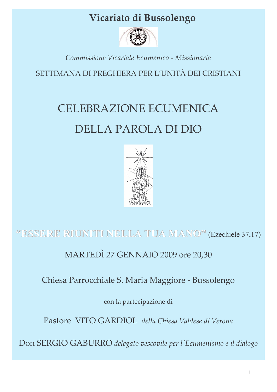## Vicariato di Bussolengo



## Commissione Vicariale Ecumenico - Missionaria

SETTIMANA DI PREGHIERA PER L'UNITÀ DEI CRISTIANI

# **CELEBRAZIONE ECUMENICA** DELLA PAROLA DI DIO



## <sup>66</sup>ESSERE RIUNITI NELLA TUA MANO<sup>22</sup> (Ezechiele 37,17)

MARTEDÌ 27 GENNAIO 2009 ore 20,30

Chiesa Parrocchiale S. Maria Maggiore - Bussolengo

con la partecipazione di

Pastore VITO GARDIOL della Chiesa Valdese di Verona

Don SERGIO GABURRO delegato vescovile per l'Ecumenismo e il dialogo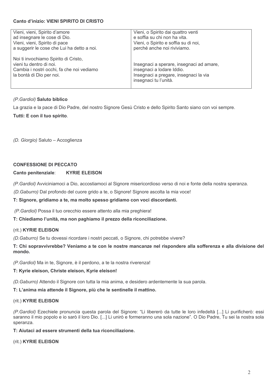#### Canto d'inizio: VIENI SPIRITO DI CRISTO

| Vieni, vieni, Spirito d'amore              | Vieni, o Spirito dai quattro venti       |
|--------------------------------------------|------------------------------------------|
| ad insegnare le cose di Dio.               | e soffia su chi non ha vita.             |
| Vieni, vieni, Spirito di pace              | Vieni, o Spirito e soffia su di noi,     |
| a suggerir le cose che Lui ha detto a noi. | perché anche noi riviviamo.              |
| Noi ti invochiamo Spirito di Cristo,       | Insegnaci a sperare, insegnaci ad amare, |
| vieni tu dentro di noi.                    | insegnaci a lodare Iddio.                |
| Cambia i nostri occhi, fa che noi vediamo  | Insegnaci a pregare, insegnaci la via    |
| la bontà di Dio per noi.                   | insegnaci tu l'unità.                    |

#### (P. Gardiol) Saluto biblico

La grazia e la pace di Dio Padre, del nostro Signore Gesù Cristo e dello Spirito Santo siano con voi sempre.

#### Tutti: E con il tuo spirito.

(D. Giorgio) Saluto - Accoglienza

#### **CONFESSIONE DI PECCATO**

#### Canto penitenziale: **KYRIE ELEISON**

(P. Gardiol) Avviciniamoci a Dio, accostiamoci al Signore misericordioso verso di noi e fonte della nostra speranza.

(D. Gaburro) Dal profondo del cuore grido a te, o Signore! Signore ascolta la mia voce!

#### T: Signore, gridiamo a te, ma molto spesso gridiamo con voci discordanti.

(P. Gardiol) Possa il tuo orecchio essere attento alla mia preghiera!

#### T: Chiediamo l'unità, ma non paghiamo il prezzo della riconciliazione.

#### (rit.) KYRIE ELEISON

(D. Gaburro) Se tu dovessi ricordare i nostri peccati, o Signore, chi potrebbe vivere?

T: Chi sopravvivrebbe? Veniamo a te con le nostre mancanze nel rispondere alla sofferenza e alla divisione del mondo.

(P. Gardiol) Ma in te, Signore, è il perdono, a te la nostra riverenza!

#### T: Kyrie eleison. Christe eleison. Kyrie eleison!

(D. Gaburro) Attendo il Signore con tutta la mia anima, e desidero ardentemente la sua parola.

### T: L'anima mia attende il Signore, più che le sentinelle il mattino.

#### (rit.) KYRIE ELEISON

(P. Gardiol) Ezechiele pronuncia questa parola del Signore: "Li libererò da tutte le loro infedeltà [...] Li purificherò: essi saranno il mio popolo e io sarò il loro Dio. [...] Li unirò e formeranno una sola nazione". O Dio Padre, Tu sei la nostra sola speranza.

#### T: Aiutaci ad essere strumenti della tua riconciliazione.

#### (rit.) KYRIE ELEISON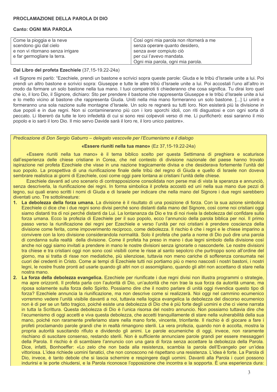#### **Canto: OGNI MIA PAROLA**

| Come la pioggia e la neve         | Così ogni mia parola non ritornerà a me |
|-----------------------------------|-----------------------------------------|
| scendono giù dal cielo            | senza operare quanto desidero,          |
| e non vi ritornano senza irrigare | senza aver compiuto ciò                 |
| e far germogliare la terra.       | per cui l'avevo mandata.                |
|                                   | Ogni mia parola, ogni mia parola.       |

#### Dal Libro del profeta Ezechiele (37,15-19.22-24a)

«Il Signore mi parlò: "Ezechiele, prendi un bastone e scrivici sopra queste parole: Giuda e le tribù d'Israele unite a lui. Poi prendi un altro bastone e scrivici sopra: Giuseppe e tutte le altre tribù d'Israele unite a lui. Poi accostali l'uno all'altro in modo da formare un solo bastone nella tua mano. I tuoi compatrioti ti chiederanno che cosa significa. Tu dirai loro quel che io, il loro Dio, il Signore, dichiaro: Sto per prendere il bastone che rappresenta Giuseppe e le tribù d'Israele unite a lui e lo metto vicino al bastone che rappresenta Giuda. Uniti nella mia mano formeranno un solo bastone. [...] Li unirò e formeranno una sola nazione sulle montagne d'Israele. Un solo re regnerà su tutti loro. Non esisterà più la divisione in due popoli e in due regni. Non si contamineranno più con i loro sporchi idoli, con riti disqustosi e con ogni sorta di peccato. Li libererò da tutte le loro infedeltà di cui si sono resi colpevoli verso di me. Li purificherò: essi saranno il mio popolo e io sarò il loro Dio. Il mio servo Davide sarà il loro re, il loro unico pastore».

#### Predicazione di Don Sergio Gaburro – delegato vescovile per l'Ecumenismo e il dialogo

#### «Essere riuniti nella tua mano» (Ez 37,15-19.22-24a)

«Essere riuniti nella tua mano» è il tema biblico scelto per questa Settimana di preghiera e scaturisce dall'esperienza delle chiese cristiane in Corea, che nel contesto di divisione nazionale del paese hanno trovato ispirazione nel profeta Ezechiele che visse in una nazione tragicamente divisa e che desiderava fortemente l'unità del suo popolo. La prospettiva di una riunificazione finale delle tribù del regno di Giuda e quello di Israele non doveva sembrare realistica ai giorni di Ezechiele, così come oggi pare lontana ai cristiani l'unità delle chiese.

Ezechiele davanti ad uno scenario di contrapposizione consolidata non perse mai di vista la speranza e annunciò, senza descriverla, la riunificazione dei regni. In forma simbolica il profeta accostò ed unì nella sua mano due pezzi di legno, sui quali erano scritti i nomi di Giuda e di Israele per indicare che nella mano del Signore i due regni sarebbero diventati uno. Tre sottolineature:

- 1. La debolezza della forza umana. La divisione è il risultato di una posizione di forza. Con la sua azione simbolica Ezechiele ci dice che i due regni sono divisi perché sono distanti dalla mano del Signore, così come noi cristiani oggi siamo distanti tra di noi perché distanti da Lui. La lontananza da Dio e tra di noi rivela la debolezza del confidare sulla forza umana. Ecco la profezia di Ezechiele per il suo popolo, ecco l'annuncio della parola biblica per noi. Il primo passo verso la riunificazione dei regni per Ezechiele e verso l'unità per noi cristiani è prendere coscienza della divisione come ferita, come impoverimento reciproco, come debolezza. Il rischio è che i regni e le chiese imparino a convivere con la loro divisione considerandola normalità. Solo il profeta che parla a nome di Dio può dire una parola di condanna sulla realtà della divisione. Come il profeta ha preso in mano i due legni simbolo della divisione così anche noi oggi siamo invitati a prendere in mano le nostre divisioni senza ignorarle o nasconderle. Le nostre divisioni tra chiese e tra cristiani oggi non sono così visibili come le risse al santo sepolcro che purtroppo sono all'ordine del giorno, ma si tratta di risse non mediatiche, più silenziose, tuttavia non meno cariche di sofferenza consumata nei cuori dei credenti in Cristo. Come ai tempi di Ezechiele tutti noi portiamo più o meno nascosti i nostri bastoni, i nostri legni, le nostre fruste pronti ad usarle quando gli altri non ci assomigliano, quando gli altri non accettano di stare nella nostra mano.
- 2. La forza della debolezza evangelica. Ezechiele per riunificate i due regni divisi non illustra programmi o strategie, ma apre orizzonti. Il profeta parla con l'autorità di Dio, un'autorità che non trae la sua forza da autorità umane, ma riposa solamente sulla forza dello Spirito. Possiamo dire che il nostro parlare di unità oggi rivendica questo tipo di forza? Ezechiele annuncia la riunificazione, ma non descrive come si realizzerà. Noi oggi nel cammino ecumenico vorremmo vedere l'unità visibile davanti a noi, tuttavia nella logica evangelica la debolezza del discorso ecumenico non è di per se un fatto tragico, poiché esiste una debolezza di Dio che è più forte degli uomini e che ci viene narrata in tutta la Scrittura. Questa debolezza di Dio è l'unica risorsa del nostro annuncio. Non possiamo tuttavia dire che l'ecumenismo di oggi accetti e viva questa debolezza, che accetti tranguillamente di stare nella vulnerabilità della sua mano, poiché non raramente preferiamo stare nella mano forte, vincente, trionfante. Il rischio è di giocare a fare i profeti proclamando parole grandi che in realtà rimangono sterili. La vera profezia, quando non è accolta, mostra la propria autorità suscitando rifiuto e dividendo gli animi. Le parole ecumeniche di oggi, invece, non raramente rischiano di suscitare consenso, restando sterili. Non è sufficiente annunciare parole grandi per essere messaggeri della Parola. Il rischio è di scambiare l'annuncio con una gara di forza senza accettare la debolezza della Parola. Dice, infatti, Bonhoeffer: «Lo zelo che non bada alla resistenza, scambia la parola dell'Evangelo per un'idea vittoriosa. L'idea richiede uomini fanatici, che non conoscono né rispettano una resistenza. L'idea è forte. La Parola di Dio, invece, è tanto debole che si lascia schernire e respingere dagli uomini. Davanti alla Parola i cuori possono indurirsi e le porte chiudersi, e la Parola riconosce l'opposizione che incontra e la sopporta. È una esperienza dura: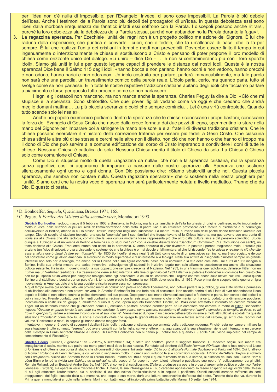per l'idea non c'è nulla di impossibile, per l'Evangelo, invece, ci sono cose impossibili. La Parola è più debole dell'idea. Anche i testimoni della Parola sono più deboli dei propagatori di un'idea. In questa debolezza essi sono liberi dalla morbosa irrequietezza dei fanatici: infatti essi soffrono con la Parola. I discepoli possono anche ritirarsi, purché la loro debolezza sia la debolezza della Parola stessa, purché non abbandonino la Parola durante la fuga»<sup>1</sup>.

3. La ragazzina speranza. Per Ezechiele l'unità dei regni non è un progetto politico ma azione del Signore. È lui che raduna dalla dispersione, che purifica e converte i cuori, che è fedele, che fa un'alleanza di pace, che la fa per sempre. È lui che realizza l'unità dei cristiani in tempi e modi non prevedibili. Dovrebbe essere finito il tempo in cui ingenuamente o intenzionalmente le chiese si sostituiscono a Cristo e pensano di poter proporre il loro modello di chiesa come orizzonte unico del dialogo. «Li unirò - dice Dio - ... e non si contamineranno più con i loro sporchi idoli». Siamo già uniti in lui e per questo legame capaci di prendere le distanze dai nostri idoli. Questa è la nostra speranza! Dice bene il Salmo 115 degli idoli: «hanno bocca e non parlano, hanno occhi e non vedono, hanno orecchi e non odono, hanno narici e non odorano». Un idolo costruito per parlare, parlerà immancabilmente, ma tale parola non sarà che una parodia, un travestimento comico della parola reale. L'idolo parla, certo, ma quando parla, tutto si svolge come se non parlasse. E in tutte le nostre rispettive tradizioni cristiane abitano degli idoli che facciamo parlare a piacimento e forse per questo tutto procede come se non parlassero.

I legni e gli ostacoli non mancano, ma non manca anche la speranza. Charles Peguy fa dire a Dio: «Ciò che mi stupisce è la speranza. Sono sbalordito. Che quei poveri figlioli vedano come va oggi e che credano che andrà meglio domani mattina... La più piccola speranza è colei che sempre comincia... Lei è una virtù contropiede. Quando tutto scende solo lei risale»<sup>2</sup>.

Anche noi popolo ecumenico portiamo dentro la speranza che le chiese riconoscano i propri bastoni, conoscano la forza dell'Evangelo di Gesù Cristo che nasce dalla croce formata dai due pezzi di legno, sperimentino lo stare nella mano del Signore per imparare poi a stringere la mano alle sorelle e ai fratelli di diversa tradizione cristiana. Che le chiese possano esercitare il ministero della correzione fraterna per essere più fedeli a Gesù Cristo. Che ciascuna chiesa stimi le altre più di se stessa e cerchi nelle altre non il difetto, non ciò che non hanno o che hanno di troppo ma il dono di Dio che può servire alla comune edificazione del corpo di Cristo imparando a condividere i doni di tutte le chiese. Nessuna Chiesa è cattolica da sola. Nessuna Chiesa merita il titolo di Chiesa da sola. La Chiesa è Chiesa solo come comunione di Chiese.

Come Dio si stupisce molto di quella «ragazzina da nulla», che non è la speranza cristiana, ma la speranza senza aggettivi, così ci auguriamo di imparare a passare dalle nostre speranze alla Speranza che sostiene silenziosamente ogni uomo e ogni donna. Con Dio possiamo dire: «Siamo sbalorditi anche noi. Questa piccola speranza, che sembra non contare nulla. Questa ragazzina speranza!» che ci sostiene nella nostra preghiera per l'unità. Siamo certi che la nostra voce di speranza non sarà particolarmente notata a livello mediatico. Tranne che da Dio. E questo ci basta.

#### <sup>1</sup>D. Bonhoeffer, Sequela, Queriniana, Brescia 1971, 165.

#### <sup>2</sup> C. Peguy, *Il Portico del Mistero della seconda virtù*, Mondadori 1993.

Dietrich Bonhoeffer, teologo, nasce il 5 febbraio 1906 a Breslavia, in Polonia, ma la sua famiglia è dell'alta borghesia di origine berlinese, molto importante e molto in vista, dalle relazioni ai più alti livelli dell'amministrazione dello stato. Il padre Karl è un eminente professore della facoltà di psichiatria e di neurologia dell'università di Berlino, ateneo in cui lo stesso Dietrich insegnerà negli anni successivi. La madre Paula, è invece una delle poche donne tedesche laureate del tempo. Dietrich sceglie di studiare teologia, una scelta "anomala" per i suoi familiari che frequentavano sì la Chiesa luterana, ma guardavano con una punta di ironia sia alla Chiesa che alla teologia, convinti che la vera cultura moderna fosse rappresenta più che altro dalla cultura laica e dal pensiero scientifico. Studia dunque a Tübingen e all'università di Berlino e termina testo dedicato alla Chiesa. Frequenta intanto con assiduità la parrocchia. Quando annuncia di voler diventare un pastore i parenti reagiscono male. Il fratello più anziano (un físico di spicco), prova a dissuaderlo sostenendo che la chiesa è ormai debole e fallimentare: al che lui risponde: "se la chiesa è realmente ciò che dite essere, allora dovrò darmi da fare per riformarla". Nel 1930 Bonhoeffer si reca negli Stati Uniti come ospite di un prestigioso seminario, ma è scoraggiato e deluso nel constatare come gli allievi americani si avvicinino in modo superficiale e disinteressato alla teologia. Nella sua attività di insegnante dimostra sempre un grande interesse non solo per la teologia, ma anche per la Chiesa nella sua figura concreta, ossia per la comunità e la vita della comunità. Dal 1931 al 1933 insegna a Berlino. Nella sua attività mostra una carica innovativa, coinvolgendo gli studenti in iniziative legate non solo all'ambito accademico ma anche alla situazione politica esistente. Ha inizio, in questo modo, la sua opposizione sempre crescente al Nazismo. Nel 1933, in una trasmissione radiofonica, definisce Hitler non un Fürher ma un Verfürher (seduttore). La trasmissione viene subito interrotta. Alla fine di gennaio del 1933 Hitler va al potere e Bonhoeffer si convince ben presto che non c'è più spazio all'Università per insegnare teologia come egli desiderava, a causa del controllo che il regime esercita anche sulle attività culturali. Lascia quindi Berlino a si stabilisce a Londra per un paio d'anni; torna però presto in Germania nel 1935, dove resta fino al 1939. Poco prima dello scoppio della guerra emigra nuovamente in America, dato che la sua posizione risulta essere assai compromessa.

A quel tempo aveva già accumulato vari provvedimenti di polizia: non poteva spostarsi liberamente, non poteva parlare in pubblico, gli era stato ritirato il permesso di abilitazione alla docenza e non poteva scrivere. In America Bonhoeffer ha una forte crisi di coscienza. Non accetta dentro di sè il fatto di aver abbandonato il suo popolo e il fatto di non lottare contro la politca dominante del suo paese. Dopo poche settimane ritorna sui suoi passi e fa rientro in patria, ben conscio dei pericoli a cui va incontro. Prende contatto con i fermenti contrari al regime e con la resistenza, fenomeno che in Germania non ha certo goduto una dimensione popolare. Incominciano a costituirsi dei gruppi e, all'interno di uno di questi, opera appunto Bonhoeffer. Finché, nel 1943 viene arrestato e internato nel carcere militare di Tegel. Ad un detenuto italiano che gli chiedeva come lui, cristiano e pastore, potesse prender parte ad un complotto che cercava la morte di Hitler, Bonhoeffer rispose: "Quando un pazzo lancia la sua auto sul marciapiede, io non posso, come pastore, contentarmi di sotterrare i morti e consolare le famiglie. Io devo, se mi trovo in quel posto, saltare e afferrare il conducente al suo volante". Viene messo dunque in un carcere dell'esercito insieme a molti altri ufficiali e soldati ma questa situazione "mondana" come dice lui, è anche il contesto vitale che spiega le grandi riflessioni apparse nelle lettere scritte dal carcere, gli scritti che, raccolti nel volume "Resistenza e resa", in seguito gli hanno donato maggior fama.

Il tentativo, in genere, è quello di superare i dualismi tipici della tradizione cristiana, particolarmente della tradizione moderna. Finché resta nel carcere militare la sua situazione è tutto sommato "serena": può avere contatti con la famiglia, scrivere lettere; ma, aggravandosi la sua situazione, viene poi internato in un carcere della Gestapo in Prinz- Achracht Strasse a Berlino. Di Dietrich Bonhoeffer non si hanno più notizie fino a quando il 9 aprile 1945 viene impiccato nel campo di concentramento di Flossebürg

Charles Péguy (Orléans, 7 gennaio 1873 - Villeroy, 5 settembre 1914) è stato uno scrittore, poeta e saggista francese. Di modeste origini, sua madre era impagliatrice di sedie, mentre suo padre era morto pochi mesi dopo la sua nascita. Fu notato dal direttore dell'École Normale d'Orléans, che lo fece entrare al Liceo di Orléans e gli ottenne una borsa di studio che gli consentì di diplomarsi brillantemente. Ciò lo portò all'École Normale Supérieure di Parigi nel 1894. Qui fu allievo di Romain Rolland e di Henri Bergson, le cui lezioni lo segnarono molto. In quegli anni sviluppò le sue convinzioni socialiste. All'inizio dell'Affare Dreyfus si schierò<br>con i dreyfusardi. Vicino alla Sorbona fondò la libr Léon Blum e fondò la rivista Les Cahiers de la quinzaine, allo scopo di far scoprire nuovi talenti letterari e pubblicare sue opere. Vi collaborarono, tra gli altri, Romain Rolland, Julien Benda et André Suarès. Nel 1907, si converti al cattolicesimo. D'allora, produsse sia opere in prosa di argomento politico e polemico (Notre Jeunesse, L'argent), sia opere in versi mistiche e liriche. Tuttavia, la sua intransigenza e il suo carattere appassionato, lo resero sospetto sia agli occhi della Chiesa di cui egli attaccava l'autoritarismo, sia ai socialisti di cui denunciava l'anticlericalismo e in seguito il pacifismo. Questi sospetti saranno rafforzati da certi atteggiamenti del figlio, custode della sua memoria, che, dopo la sua morte, darà una lettura conservatrice dell'opera del padre. Tenente della riserva, durante la<br>Prima guerra mondiale si arruolò nella fanteria. Morì in c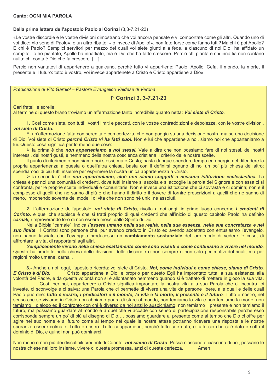#### Dalla prima lettera dell'apostolo Paolo ai Corinzi (3,3-7.21-23)

«Le vostre discordie e le vostre divisioni dimostrano che voi ancora pensate e vi comportate come gli altri. Quando uno di voi dice: «lo sono di Paolo», e un altro ribatte: «io invece di Apollo!», non fate forse come fanno tutti? Ma chi è poi Apollo? E chi è Paolo? Semplici servitori per mezzo dei quali voi siete giunti alla fede. a ciascuno di noi Dio ha affidato un compito. Io ho piantato, Apollo ha innaffiato, ma è Dio che ha fatto crescere. Perciò chi pianta e chi innaffia non contano nulla: chi conta è Dio che fa crescere. [...]

Perciò non vantatevi di appartenere a qualcuno, perché tutto vi appartiene: Paolo, Apollo, Cefa, il mondo, la morte, il presente e il futuro: tutto è vostro, voi invece appartenete a Cristo e Cristo appartiene a Dio».

Predicazione di Vito Gardiol - Pastore Evangelico Valdese di Verona

#### l<sup>°</sup> Corinzi 3, 3-7.21-23

Cari fratelli e sorelle.

al termine di questo brano troviamo un'affermazione tanto incredibile quanto netta: Voi siete di Cristo.

1. Così come siete, con tutti i vostri limiti e peccati, con le vostre contraddizioni e debolezze, con le vostre divisioni, voi siete di Cristo.

E' un'affermazione fatta con serenità e con certezza, che non poggia su una decisione nostra ma su una decisione di Dio. Voi siete di Cristo perché Cristo vi ha fatti suoi. Non è lui che appartiene a noi, siamo noi che apparteniamo a lui. Questo cosa significa per lo meno due cose:

> la prima è che non apparteniamo a noi stessi. Vale a dire che non possiamo fare di noi stessi, dei nostri interessi, dei nostri qusti, e nemmeno della nostra coscienza cristiana il criterio delle nostre scelte.

Il punto di riferimento non siamo noi stessi, ma è Cristo; basta dunque spendere tempo ed energie nel difendere la propria appartenenza a questa o quell'altra chiesa, basta con il definirsi ognuno di noi un po' più chiesa dell'altro: spendiamoci di più tutti insieme per esprimere la nostra unica appartenenza a Cristo.

la seconda è che non apparteniamo, cioè non siamo soggetti a nessuna istituzione ecclesiastica. La chiesa è per noi una comunità di credenti, dove tutti insieme si ascolta e si accoglie la parola del Signore e con essa ci si confronta, per le proprie scelte individuali e comunitarie. Non è invece una istituzione che ci sovrasta e ci domina; non è il complesso di quelli che ne sanno di più e che hanno il diritto o il dovere di fornire prescrizioni a quelli che ne sanno di meno, imponendo sovente dei modelli di vita che non sono né unici né assoluti.

2. L'affermazione dell'apostolo: voi siete di Cristo, rivolta a noi oggi, in primo luogo concerne i credenti di Corinto, e quel che stupisce è che si tratti proprio di quei credenti che all'inizio di questo capitolo Paolo ha definito carnali, rimproverando loro di non essere mossi dallo Spirito di Dio.

Nella Bibbia "carnale", indica l'essere umano nella sua realtà, nella sua essenza, nella sua concretezza e nel suo limite. I Corinzi sono persone che, pur avendo creduto in Cristo ed avendo accettato con entusiasmo l'evangelo, non hanno lasciato che l'evangelo producesse un cambiamento sostanziale del loro modo di vedere le cose, di affrontare la vita, di rapportarsi agli altri.

Semplicemente vivono nella chiesa esattamente come sono vissuti e come continuano a vivere nel mondo. Questo ha prodotto nella chiesa delle divisioni, delle discordie e non sempre e non solo per motivi dottrinali, ma per ragioni molto umane, carnali.

3.- Anche a noi, oggi, l'apostolo ricorda: voi siete di Cristo. Noi, come individui e come chiese, siamo di Cristo, E Cristo è di Dio. Cristo appartiene a Dio, e proprio per questo Egli ha improntato tutta la sua esistenza alla volontà del Padre, e da questa volontà non si è allontanato nemmeno quando si è trattato di mettere in gioco la sua vita.

Così, per noi, appartenere a Cristo significa improntare la nostra vita alla sua Parola che ci incontra, ci investe, ci sconvolge e ci salva; una Parola che ci permette di vivere una vita da persone libere, alle quali e delle quali Paolo può dire: tutto è vostro, i predicatori e il mondo, la vita e la morte, il presente e il futuro. Tutto è nostro, nel senso che se viviamo in Cristo non abbiamo paura di stare al mondo, non temiamo la vita e non temiamo la morte, non temiamo il dialogo ed il confronto con chi è diverso da noi anzi lo auspichiamo, non temiamo il presente e non temiamo il futuro, ma possiamo guardare al mondo e a quel che vi accade con senso di partecipazione responsabile perché esso corrisponda sempre un po' di più al disegno di Dio... possiamo guardare al presente come al tempo che Dio ci offre per agire nel suo nome e al futuro come al tempo nel quale le nostre attese potranno ricevere una risposta e le nostre speranze essere colmate. Tutto è nostro. Tutto ci appartiene, perché tutto ci è dato, e tutto ciò che ci è dato è sotto il dominio di Dio, e quindi non può dominarci.

Non meno e non più dei discutibili credenti di Corinto, noi siamo di Cristo. Possa ciascuno e ciascuna di noi, possano le nostre chiese nel loro insieme, vivere di questa promessa, anzi di questa certezza. Amen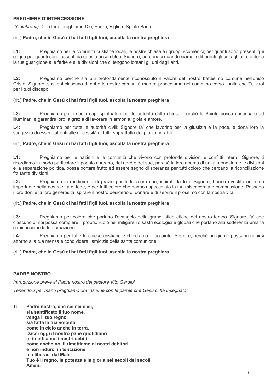#### PREGHIERE D'INTERCESSIONE

(Celebranti) Con fede preghiamo Dio, Padre, Figlio e Spirito Santo!

#### (rit.) Padre, che in Gesù ci hai fatti figli tuoi, ascolta la nostra preghiera

 $L1:$ Preghiamo per le comunità cristiane locali, le nostre chiese e i gruppi ecumenici; per guanti sono presenti qui oggi e per quanti sono assenti da questa assemblea. Signore, perdonaci quando siamo indifferenti gli uni agli altri, e dona la tua quarigione alle ferite e alle divisioni che ci tengono lontani gli uni dagli altri.

 $L2:$ Preghiamo perché sia più profondamente riconosciuto il valore del nostro battesimo comune nell'unico Cristo. Signore, sostieni ciascuno di noi e le nostre comunità mentre procediamo nel cammino verso l'unità che Tu vuoi per i tuoi discepoli.

#### (rit.) Padre, che in Gesù ci hai fatti figli tuoi, ascolta la nostra preghiera

 $1.3<sup>+</sup>$ Preghiamo per i nostri capi spirituali e per le autorità delle chiese, perché lo Spirito possa continuare ad illuminarli e garantire loro la grazia di lavorare in armonia, gioia e amore.

 $L4:$ Preghiamo per tutte le autorità civili: Signore fa' che lavorino per la giustizia e la pace, e dona loro la saggezza di essere attenti alle necessità di tutti, soprattutto dei più vulnerabili.

#### (rit.) Padre, che in Gesù ci hai fatti figli tuoi, ascolta la nostra preghiera

 $L1:$ Preghiamo per le nazioni e le comunità che vivono con profonde divisioni e conflitti interni. Signore, ti ricordiamo in modo particolare il popolo coreano, del nord e del sud, perché la loro ricerca di unità, nonostante le divisioni e la separazione politica, possa portare frutto ed essere segno di speranza per tutti coloro che cercano la riconciliazione fra tante divisioni.

 $12.$ Preghiamo in rendimento di grazie per tutti coloro che, ispirati da te o Signore, hanno rivestito un ruolo importante nella nostra vita di fede, e per tutti coloro che hanno rispecchiato la tua misericordia e compassione. Possano i loro doni e la loro generosità ispirare il nostro desiderio di donare e di servire il prossimo con la nostra vita.

#### (rit.) Padre, che in Gesù ci hai fatti figli tuoi, ascolta la nostra preghiera

 $L3:$ Preghiamo per coloro che portano l'evangelo nelle grandi sfide etiche del nostro tempo. Signore, fa' che ciascuno di noi possa compiere il proprio ruolo nel mitigare i disastri ecologici e globali che portano alla sofferenza umana e minacciano la tua creazione

Preghiamo per tutte le chiese cristiane e chiediamo il tuo aiuto, Signore, perché un giorno possano riunirsi  $|A|$ attorno alla tua mensa e condividere l'amicizia della santa comunione.

#### (rit.) Padre, che in Gesù ci hai fatti figli tuoi, ascolta la nostra preghiera

#### **PADRE NOSTRO**

Introduzione breve al Padre nostro del pastore Vito Gardiol

Tenendoci per mano preghiamo ora insieme con le parole che Gesù ci ha insegnato:

 $\mathsf{T}$ : Padre nostro, che sei nei cieli, sia santificato il tuo nome. venga il tuo regno, sia fatta la tua volontà come in cielo anche in terra. Dacci oggi il nostro pane quotidiano e rimetti a noi i nostri debiti come anche noi li rimettiamo ai nostri debitori. e non indurci in tentazione ma liberaci dal Male. Tuo è il regno, la potenza e la gloria nei secoli dei secoli. Amen.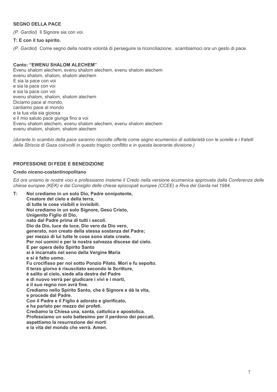#### **SEGNO DELLA PACE**

(P. Gardiol) Il Signore sia con voi.

#### T: E con il tuo spirito.

(P. Gardiol) Come segno della nostra volontà di perseguire la riconciliazione, scambiamoci ora un gesto di pace.

#### **Canto: "EWENU SHALOM ALECHEM"**

Evenu shalom alechem, evenu shalom alechem, evenu shalom alechem evenu shalom, shalom, shalom alechem E sia la pace con voi e sia la pace con voi e sia la pace con voi evenu shalom, shalom, shalom alechem Diciamo pace al mondo. cantiamo pace al mondo e la tua vita sia gioiosa e il mio saluto pace giunga fino a voi Evenu shalom alechem, evenu shalom alechem, evenu shalom alechem evenu shalom, shalom, shalom alechem

(durante lo scambio della pace saranno raccolte offerte come segno ecumenico di solidarietà con le sorelle e i fratelli della Striscia di Gaza coinvolti in questo tragico conflitto e in questa lacerante divisione.)

#### PROFESSIONE DI FEDE E BENEDIZIONE

#### Credo niceno-costantinopolitano

Ed ora uniamo le nostre voci e professiamo insieme il Credo nella versione ecumenica approvata dalla Conferenza delle chiese europee (KEK) e dal Consiglio delle chiese episcopali europee (CCEE) a Riva del Garda nel 1984.

 $\mathbf{T}$ : Noi crediamo in un solo Dio, Padre onnipotente, Creatore del cielo e della terra. di tutte le cose visibili e invisibili. Noi crediamo in un solo Signore, Gesù Cristo, Unigenito Figlio di Dio, nato dal Padre prima di tutti i secoli. Dio da Dio, luce da luce, Dio vero da Dio vero, generato, non creato della stessa sostanza del Padre; per mezzo di lui tutte le cose sono state create. Per noi uomini e per la nostra salvezza discese dal cielo. E per opera dello Spirito Santo si è incarnato nel seno della Vergine Maria e si è fatto uomo. Fu crocifisso per noi sotto Ponzio Pilato. Morì e fu sepolto. Il terzo giorno è risuscitato secondo le Scritture. è salito al cielo, siede alla destra del Padre e di nuovo verrà per giudicare i vivi e i morti, e il suo regno non avrà fine. Crediamo nello Spirito Santo, che è Signore e dà la vita, e procede dal Padre. Con il Padre e il Figlio è adorato e glorificato. e ha parlato per mezzo dei profeti. Crediamo la Chiesa una, santa, cattolica e apostolica. Professiamo un solo battesimo per il perdono dei peccati, aspettiamo la resurrezione dei morti

e la vita del mondo che verrà. Amen.